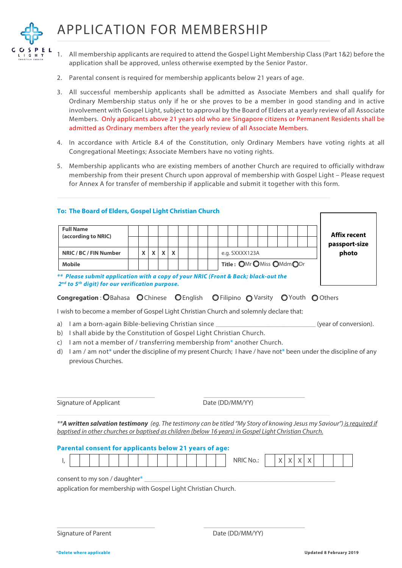## APPLICATION FOR MEMBERSHIP



1. All membership applicants are required to attend the Gospel Light Membership Class (Part 1&2) before the application shall be approved, unless otherwise exempted by the Senior Pastor.

- 2. Parental consent is required for membership applicants below 21 years of age.
- 3. All successful membership applicants shall be admitted as Associate Members and shall qualify for Ordinary Membership status only if he or she proves to be a member in good standing and in active involvement with Gospel Light, subject to approval by the Board of Elders at a yearly review of all Associate Members. Only applicants above 21 years old who are Singapore citizens or Permanent Residents shall be admitted as Ordinary members after the yearly review of all Associate Members.
- 4. In accordance with Article 8.4 of the Constitution, only Ordinary Members have voting rights at all Congregational Meetings; Associate Members have no voting rights.
- 5. Membership applicants who are existing members of another Church are required to officially withdraw membership from their present Church upon approval of membership with Gospel Light – Please request for Annex A for transfer of membership if applicable and submit it together with this form.

| To: The Board of Elders, Gospel Light Christian Church                                                                                                                                                                                                                                                                                                          |   |              |   |   |  |  |  |                                          |  |  |   |        |   |              |  |  |                     |                       |
|-----------------------------------------------------------------------------------------------------------------------------------------------------------------------------------------------------------------------------------------------------------------------------------------------------------------------------------------------------------------|---|--------------|---|---|--|--|--|------------------------------------------|--|--|---|--------|---|--------------|--|--|---------------------|-----------------------|
| <b>Full Name</b><br>(according to NRIC)                                                                                                                                                                                                                                                                                                                         |   |              |   |   |  |  |  |                                          |  |  |   |        |   |              |  |  | <b>Affix recent</b> |                       |
|                                                                                                                                                                                                                                                                                                                                                                 |   |              |   |   |  |  |  |                                          |  |  |   |        |   |              |  |  | passport-size       |                       |
| NRIC / BC / FIN Number                                                                                                                                                                                                                                                                                                                                          | X | $\mathsf{x}$ | X | X |  |  |  | e.g. SXXXX123A                           |  |  |   |        |   |              |  |  | photo               |                       |
| <b>Mobile</b>                                                                                                                                                                                                                                                                                                                                                   |   |              |   |   |  |  |  | Title: OMr OMiss OMdmODr                 |  |  |   |        |   |              |  |  |                     |                       |
| ** Please submit application with a copy of your NRIC (Front & Back; black-out the<br>2 <sup>nd</sup> to 5 <sup>th</sup> digit) for our verification purpose.                                                                                                                                                                                                   |   |              |   |   |  |  |  |                                          |  |  |   |        |   |              |  |  |                     |                       |
| <b>Congregation: OBahasa OChinese OEnglish</b>                                                                                                                                                                                                                                                                                                                  |   |              |   |   |  |  |  | <b>OFilipino OVarsity OYouth OOthers</b> |  |  |   |        |   |              |  |  |                     |                       |
| I wish to become a member of Gospel Light Christian Church and solemnly declare that:                                                                                                                                                                                                                                                                           |   |              |   |   |  |  |  |                                          |  |  |   |        |   |              |  |  |                     |                       |
| I am a born-again Bible-believing Christian since<br>a)<br>I shall abide by the Constitution of Gospel Light Christian Church.<br>b)<br>I am not a member of / transferring membership from* another Church.<br>C)<br>I am / am not* under the discipline of my present Church; I have / have not* been under the discipline of any<br>d)<br>previous Churches. |   |              |   |   |  |  |  |                                          |  |  |   |        |   |              |  |  |                     | (year of conversion). |
| <b>Signature of Applicant</b>                                                                                                                                                                                                                                                                                                                                   |   |              |   |   |  |  |  | Date (DD/MM/YY)                          |  |  |   |        |   |              |  |  |                     |                       |
| ** A written salvation testimony (eq. The testimony can be titled "My Story of knowing Jesus my Saviour") is required if<br>baptised in other churches or baptised as children (below 16 years) in Gospel Light Christian Church.<br>Parental consent for applicants below 21 years of age:                                                                     |   |              |   |   |  |  |  |                                          |  |  |   |        |   |              |  |  |                     |                       |
| I,                                                                                                                                                                                                                                                                                                                                                              |   |              |   |   |  |  |  | <b>NRIC No.:</b>                         |  |  | X | $\chi$ | X | $\mathsf{X}$ |  |  |                     |                       |
| consent to my son / daughter*                                                                                                                                                                                                                                                                                                                                   |   |              |   |   |  |  |  |                                          |  |  |   |        |   |              |  |  |                     |                       |

Signature of Parent **Date (DD/MM/YY)**